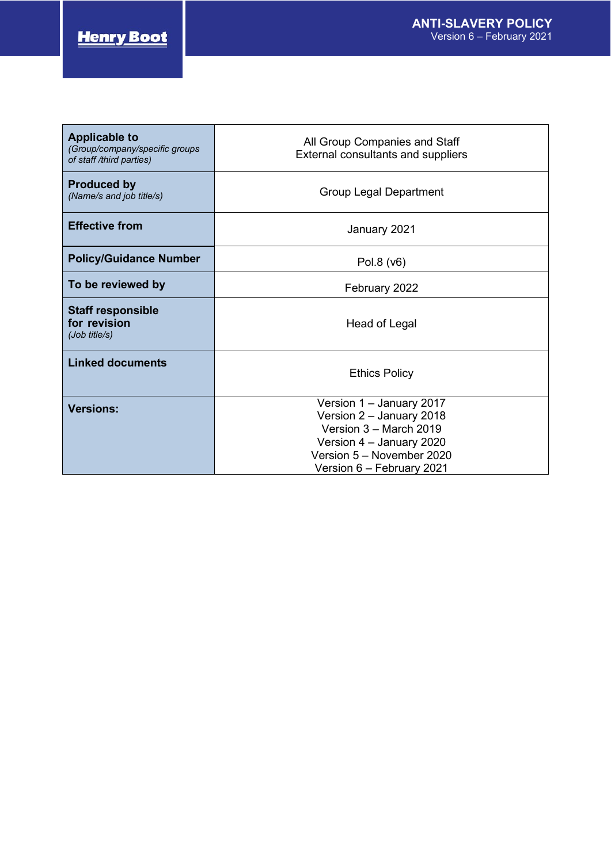| <b>Applicable to</b><br>(Group/company/specific groups<br>of staff /third parties) | All Group Companies and Staff<br>External consultants and suppliers                                                                                                  |
|------------------------------------------------------------------------------------|----------------------------------------------------------------------------------------------------------------------------------------------------------------------|
| <b>Produced by</b><br>(Name/s and job title/s)                                     | <b>Group Legal Department</b>                                                                                                                                        |
| <b>Effective from</b>                                                              | January 2021                                                                                                                                                         |
| <b>Policy/Guidance Number</b>                                                      | Pol.8 (v6)                                                                                                                                                           |
| To be reviewed by                                                                  | February 2022                                                                                                                                                        |
| <b>Staff responsible</b><br>for revision<br>(Job title/s)                          | Head of Legal                                                                                                                                                        |
| <b>Linked documents</b>                                                            | <b>Ethics Policy</b>                                                                                                                                                 |
| <b>Versions:</b>                                                                   | Version 1 - January 2017<br>Version 2 - January 2018<br>Version 3 - March 2019<br>Version 4 - January 2020<br>Version 5 - November 2020<br>Version 6 - February 2021 |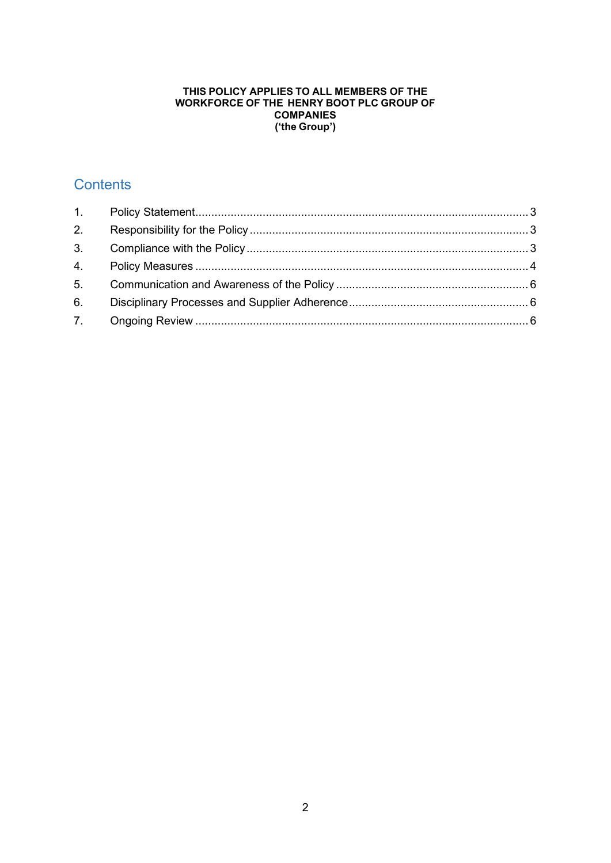#### **THIS POLICY APPLIES TO ALL MEMBERS OF THE WORKFORCE OF THE HENRY BOOT PLC GROUP OF COMPANIES ('the Group')**

# **Contents**

| 2. |  |
|----|--|
|    |  |
|    |  |
|    |  |
| 6. |  |
|    |  |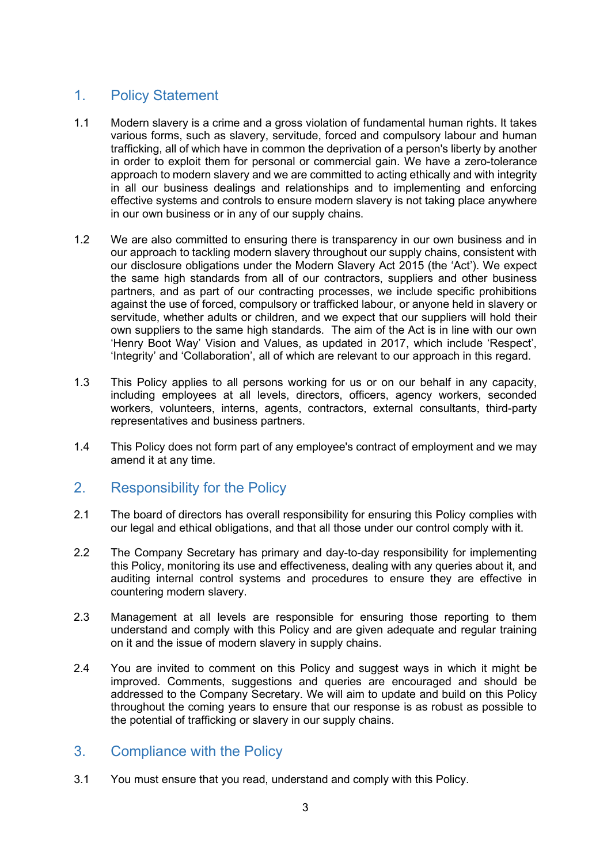## <span id="page-2-0"></span>1. Policy Statement

- 1.1 Modern slavery is a crime and a gross violation of fundamental human rights. It takes various forms, such as slavery, servitude, forced and compulsory labour and human trafficking, all of which have in common the deprivation of a person's liberty by another in order to exploit them for personal or commercial gain. We have a zero-tolerance approach to modern slavery and we are committed to acting ethically and with integrity in all our business dealings and relationships and to implementing and enforcing effective systems and controls to ensure modern slavery is not taking place anywhere in our own business or in any of our supply chains.
- 1.2 We are also committed to ensuring there is transparency in our own business and in our approach to tackling modern slavery throughout our supply chains, consistent with our disclosure obligations under the Modern Slavery Act 2015 (the 'Act'). We expect the same high standards from all of our contractors, suppliers and other business partners, and as part of our contracting processes, we include specific prohibitions against the use of forced, compulsory or trafficked labour, or anyone held in slavery or servitude, whether adults or children, and we expect that our suppliers will hold their own suppliers to the same high standards. The aim of the Act is in line with our own 'Henry Boot Way' Vision and Values, as updated in 2017, which include 'Respect', 'Integrity' and 'Collaboration', all of which are relevant to our approach in this regard.
- 1.3 This Policy applies to all persons working for us or on our behalf in any capacity, including employees at all levels, directors, officers, agency workers, seconded workers, volunteers, interns, agents, contractors, external consultants, third-party representatives and business partners.
- 1.4 This Policy does not form part of any employee's contract of employment and we may amend it at any time.

### <span id="page-2-1"></span>2. Responsibility for the Policy

- 2.1 The board of directors has overall responsibility for ensuring this Policy complies with our legal and ethical obligations, and that all those under our control comply with it.
- 2.2 The Company Secretary has primary and day-to-day responsibility for implementing this Policy, monitoring its use and effectiveness, dealing with any queries about it, and auditing internal control systems and procedures to ensure they are effective in countering modern slavery.
- 2.3 Management at all levels are responsible for ensuring those reporting to them understand and comply with this Policy and are given adequate and regular training on it and the issue of modern slavery in supply chains.
- 2.4 You are invited to comment on this Policy and suggest ways in which it might be improved. Comments, suggestions and queries are encouraged and should be addressed to the Company Secretary. We will aim to update and build on this Policy throughout the coming years to ensure that our response is as robust as possible to the potential of trafficking or slavery in our supply chains.

### <span id="page-2-2"></span>3. Compliance with the Policy

3.1 You must ensure that you read, understand and comply with this Policy.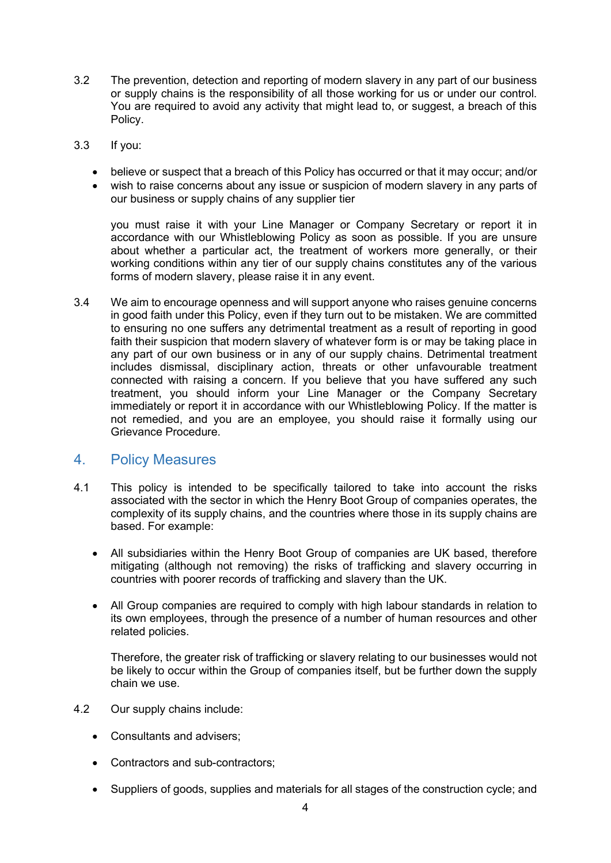- 3.2 The prevention, detection and reporting of modern slavery in any part of our business or supply chains is the responsibility of all those working for us or under our control. You are required to avoid any activity that might lead to, or suggest, a breach of this Policy.
- 3.3 If you:
	- believe or suspect that a breach of this Policy has occurred or that it may occur; and/or
	- wish to raise concerns about any issue or suspicion of modern slavery in any parts of our business or supply chains of any supplier tier

you must raise it with your Line Manager or Company Secretary or report it in accordance with our Whistleblowing Policy as soon as possible. If you are unsure about whether a particular act, the treatment of workers more generally, or their working conditions within any tier of our supply chains constitutes any of the various forms of modern slavery, please raise it in any event.

3.4 We aim to encourage openness and will support anyone who raises genuine concerns in good faith under this Policy, even if they turn out to be mistaken. We are committed to ensuring no one suffers any detrimental treatment as a result of reporting in good faith their suspicion that modern slavery of whatever form is or may be taking place in any part of our own business or in any of our supply chains. Detrimental treatment includes dismissal, disciplinary action, threats or other unfavourable treatment connected with raising a concern. If you believe that you have suffered any such treatment, you should inform your Line Manager or the Company Secretary immediately or report it in accordance with our Whistleblowing Policy. If the matter is not remedied, and you are an employee, you should raise it formally using our Grievance Procedure.

### <span id="page-3-0"></span>4. Policy Measures

- 4.1 This policy is intended to be specifically tailored to take into account the risks associated with the sector in which the Henry Boot Group of companies operates, the complexity of its supply chains, and the countries where those in its supply chains are based. For example:
	- All subsidiaries within the Henry Boot Group of companies are UK based, therefore mitigating (although not removing) the risks of trafficking and slavery occurring in countries with poorer records of trafficking and slavery than the UK.
	- All Group companies are required to comply with high labour standards in relation to its own employees, through the presence of a number of human resources and other related policies.

Therefore, the greater risk of trafficking or slavery relating to our businesses would not be likely to occur within the Group of companies itself, but be further down the supply chain we use.

- 4.2 Our supply chains include:
	- Consultants and advisers;
	- Contractors and sub-contractors;
	- Suppliers of goods, supplies and materials for all stages of the construction cycle; and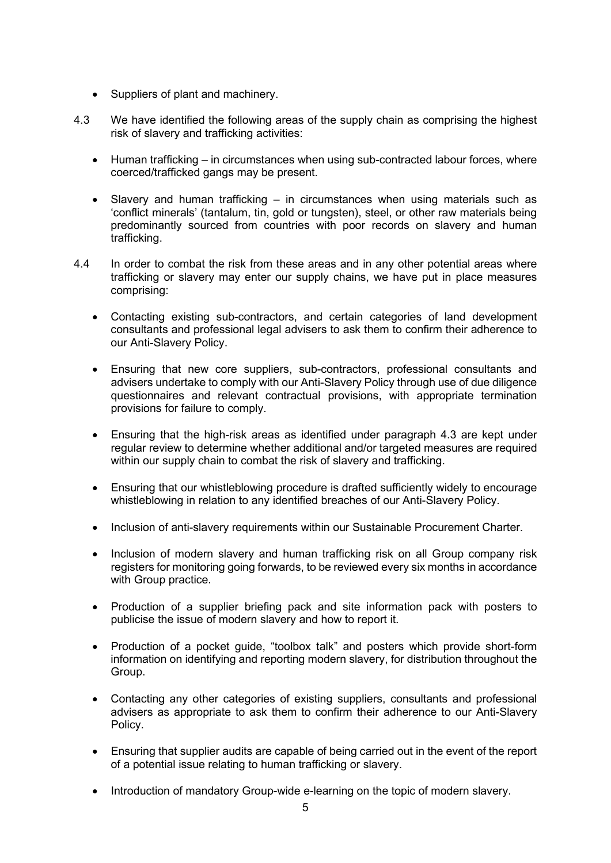- Suppliers of plant and machinery.
- 4.3 We have identified the following areas of the supply chain as comprising the highest risk of slavery and trafficking activities:
	- Human trafficking in circumstances when using sub-contracted labour forces, where coerced/trafficked gangs may be present.
	- Slavery and human trafficking in circumstances when using materials such as 'conflict minerals' (tantalum, tin, gold or tungsten), steel, or other raw materials being predominantly sourced from countries with poor records on slavery and human trafficking.
- 4.4 In order to combat the risk from these areas and in any other potential areas where trafficking or slavery may enter our supply chains, we have put in place measures comprising:
	- Contacting existing sub-contractors, and certain categories of land development consultants and professional legal advisers to ask them to confirm their adherence to our Anti-Slavery Policy.
	- Ensuring that new core suppliers, sub-contractors, professional consultants and advisers undertake to comply with our Anti-Slavery Policy through use of due diligence questionnaires and relevant contractual provisions, with appropriate termination provisions for failure to comply.
	- Ensuring that the high-risk areas as identified under paragraph 4.3 are kept under regular review to determine whether additional and/or targeted measures are required within our supply chain to combat the risk of slavery and trafficking.
	- Ensuring that our whistleblowing procedure is drafted sufficiently widely to encourage whistleblowing in relation to any identified breaches of our Anti-Slavery Policy.
	- Inclusion of anti-slavery requirements within our Sustainable Procurement Charter.
	- Inclusion of modern slavery and human trafficking risk on all Group company risk registers for monitoring going forwards, to be reviewed every six months in accordance with Group practice.
	- Production of a supplier briefing pack and site information pack with posters to publicise the issue of modern slavery and how to report it.
	- Production of a pocket guide, "toolbox talk" and posters which provide short-form information on identifying and reporting modern slavery, for distribution throughout the Group.
	- Contacting any other categories of existing suppliers, consultants and professional advisers as appropriate to ask them to confirm their adherence to our Anti-Slavery Policy.
	- Ensuring that supplier audits are capable of being carried out in the event of the report of a potential issue relating to human trafficking or slavery.
	- Introduction of mandatory Group-wide e-learning on the topic of modern slavery.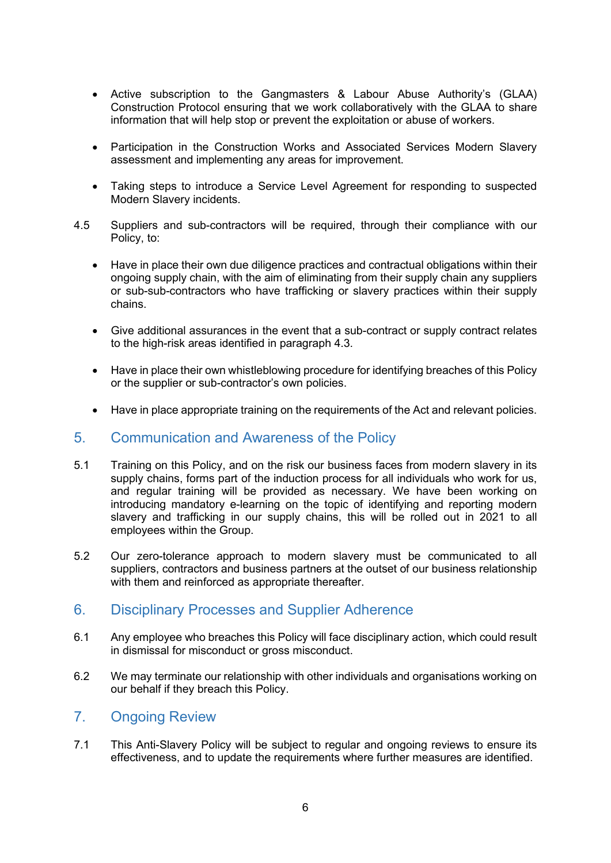- Active subscription to the Gangmasters & Labour Abuse Authority's (GLAA) Construction Protocol ensuring that we work collaboratively with the GLAA to share information that will help stop or prevent the exploitation or abuse of workers.
- Participation in the Construction Works and Associated Services Modern Slavery assessment and implementing any areas for improvement.
- Taking steps to introduce a Service Level Agreement for responding to suspected Modern Slavery incidents.
- 4.5 Suppliers and sub-contractors will be required, through their compliance with our Policy, to:
	- Have in place their own due diligence practices and contractual obligations within their ongoing supply chain, with the aim of eliminating from their supply chain any suppliers or sub-sub-contractors who have trafficking or slavery practices within their supply chains.
	- Give additional assurances in the event that a sub-contract or supply contract relates to the high-risk areas identified in paragraph 4.3.
	- Have in place their own whistleblowing procedure for identifying breaches of this Policy or the supplier or sub-contractor's own policies.
	- Have in place appropriate training on the requirements of the Act and relevant policies.

#### <span id="page-5-0"></span>5. Communication and Awareness of the Policy

- 5.1 Training on this Policy, and on the risk our business faces from modern slavery in its supply chains, forms part of the induction process for all individuals who work for us, and regular training will be provided as necessary. We have been working on introducing mandatory e-learning on the topic of identifying and reporting modern slavery and trafficking in our supply chains, this will be rolled out in 2021 to all employees within the Group.
- 5.2 Our zero-tolerance approach to modern slavery must be communicated to all suppliers, contractors and business partners at the outset of our business relationship with them and reinforced as appropriate thereafter.

#### <span id="page-5-1"></span>6. Disciplinary Processes and Supplier Adherence

- 6.1 Any employee who breaches this Policy will face disciplinary action, which could result in dismissal for misconduct or gross misconduct.
- 6.2 We may terminate our relationship with other individuals and organisations working on our behalf if they breach this Policy.

### <span id="page-5-2"></span>7. Ongoing Review

7.1 This Anti-Slavery Policy will be subject to regular and ongoing reviews to ensure its effectiveness, and to update the requirements where further measures are identified.